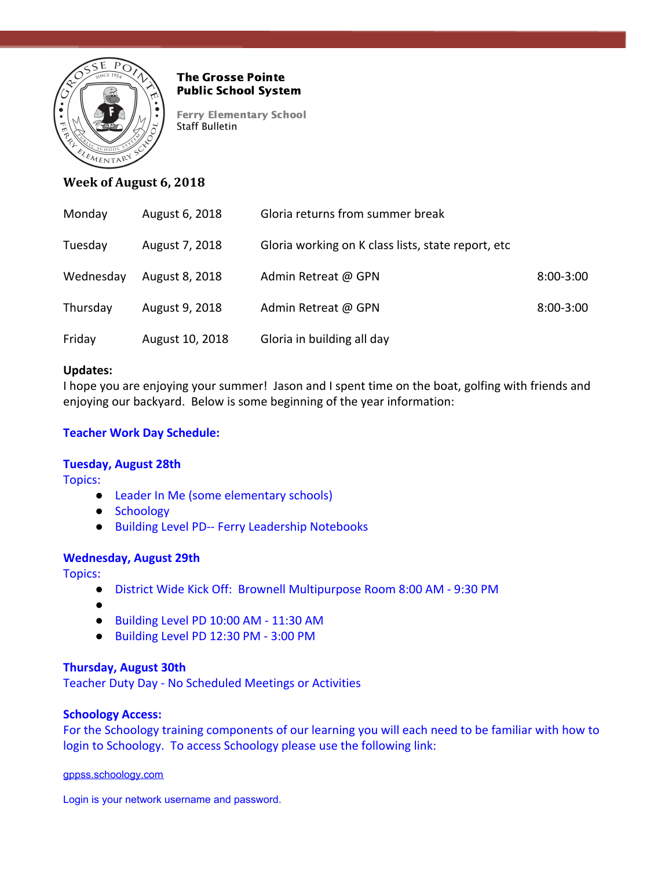

## The Grosse Pointe Public School System

Ferry Elementary School Staff Bulletin

# **Week of August 6, 2018**

| Monday    | August 6, 2018  | Gloria returns from summer break                    |               |
|-----------|-----------------|-----------------------------------------------------|---------------|
| Tuesday   | August 7, 2018  | Gloria working on K class lists, state report, etc. |               |
| Wednesday | August 8, 2018  | Admin Retreat @ GPN                                 | $8:00 - 3:00$ |
| Thursday  | August 9, 2018  | Admin Retreat @ GPN                                 | $8:00 - 3:00$ |
| Friday    | August 10, 2018 | Gloria in building all day                          |               |

### **Updates:**

I hope you are enjoying your summer! Jason and I spent time on the boat, golfing with friends and enjoying our backyard. Below is some beginning of the year information:

## **Teacher Work Day Schedule:**

### **Tuesday, August 28th**

Topics:

- Leader In Me (some elementary schools)
- Schoology
- Building Level PD-- Ferry Leadership Notebooks

### **Wednesday, August 29th**

Topics:

- District Wide Kick Off: Brownell Multipurpose Room 8:00 AM 9:30 PM
- ●
- Building Level PD 10:00 AM 11:30 AM
- Building Level PD 12:30 PM 3:00 PM

### **Thursday, August 30th**

Teacher Duty Day - No Scheduled Meetings or Activities

### **Schoology Access:**

For the Schoology training components of our learning you will each need to be familiar with how to login to Schoology. To access Schoology please use the following link:

[gppss.schoology.com](http://gppss.schoology.com/)

Login is your network username and password.